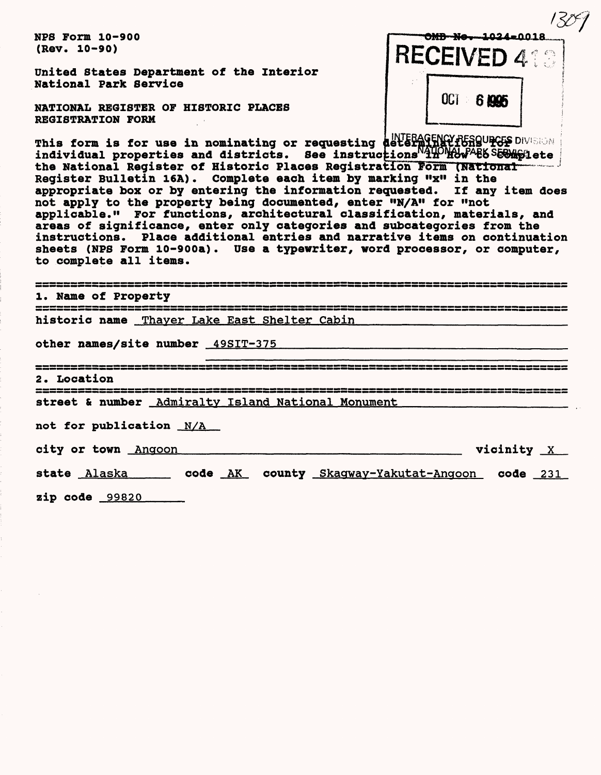NPS Form 10-900 (Rev. 10-90)

United States Department of the Interior National Park Service

**NATIONAL REGISTER OF HISTORIC PLACES REGISTRATION FORM**

This form is for use in nominating or requesting determinations PGS DIVISION individual properties and districts. See instructions in HOWARES SECHELete the National Register of Historic Places Registration Form (National Register Bulletin 16A). Complete each item by marking "x" in the appropriate box or by entering the information requested. If any item does not apply to the property being documented, enter "N/A11 for "not applicable." For functions, architectural classification, materials, and areas of significance, enter only categories and subcategories from the instructions. Place additional entries and narrative items on continuation sheets (NPS Form I0-900a). Use a typewriter, word processor, or computer, to complete all items.

RE

OCT 610AA

24-001

| 1. Name of Property                                               |
|-------------------------------------------------------------------|
|                                                                   |
| historic name Thayer Lake East Shelter Cabin                      |
|                                                                   |
| other names/site number 49SIT-375                                 |
|                                                                   |
|                                                                   |
| 2. Location                                                       |
|                                                                   |
| street & number _Admiralty Island National Monument               |
|                                                                   |
| not for publication N/A                                           |
|                                                                   |
| city or town Angoon<br>vicinity X                                 |
|                                                                   |
| state Alaska _____ code AK county Skaqway-Yakutat-Angoon code 231 |
|                                                                   |
|                                                                   |

zip code 99820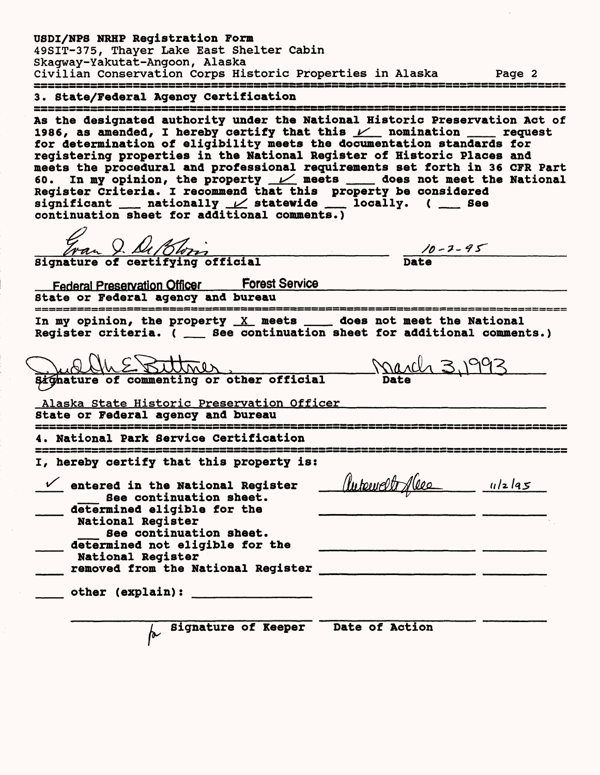USDI/NP8 NRHP Registration Form 49SIT-375, Thayer Lake East Shelter Cabin Skagway-Yakutat-Angoon, Alaska Civilian Conservation Corps Historic Properties in Alaska Page 2 3. State/Federal Agency Certification ے کہ دی میں کا لی ہے جہ دی جب جب جب جب دی جب جب دی ہے ہیں جب دی دی جب دی ہیں ہیں ہیں ہے جب ہے جب جب دی ہے جب د<br>اگر اگر کہ جب کر چر جب سا سر کر دی جب ڈالا ہو جب ای جب کا ایب جب ذات کہ جب بجل اگر ہے جب سر جب جب ڈال کو میں ج ۔<br>اللہ ملک اللہ کی گئی اللہ بنات میں میں بیٹن کی میں نہیں میں کی میں بنات کی ایک ایک کو میں میں ملک کی ایک از<br>نامہ ملک ملک ملک ملک کو ایک ملک ملک میں ملک بنات ملک ملک کی ملک ملک ملک کریا کر ملک ملک ملک ملک ملک ملک ک As the designated authority under the National Historic Preservation Act of 1986, as amended, I hereby certify that this  $\nu$  nomination \_\_\_ request for determination of eligibility meets the documentation standards for registering properties in the National Register of Historic Places and meets the procedural and professional requirements set forth in 36 CFR Part 60. In my opinion, the property  $\angle$  meets \_\_\_ does not meet the National Register Criteria. I recommend that this property be considered significant \_\_ nationally  $\swarrow$  statewide \_\_ locally. ( \_\_ See continuation sheet for additional comments.) Tran J. De Bloris  $\frac{\gamma_{\text{max}}\vee\mathcal{N}_{\text{min}}}{\text{ signature of certifying official}}$  Date Federal Preservation Officer Forest Service state or Federal agency and bureau \_\_\_\_\_\_\_\_\_\_\_\_\_\_\_\_\_\_\_\_\_\_\_\_\_ In my opinion, the property  $X$  meets \_\_\_\_ does not meet the National Register criteria. ( \_\_ See continuation sheet for additional comments.) walk E Bittner, Sighature of commenting or other official Alaska State Historic Preservation Officer<br>State or Federal agency and bureau 4. National Park Service Certification I, hereby certify that this property is: Cubewelt flee 1/2/95  $V$  entered in the National Reqister See continuation sheet. determined eligible for the National Register \_\_ See continuation sheet. determined not eligible for the National Register removed from the National Register other (explain): Signature of Keeper Date of Action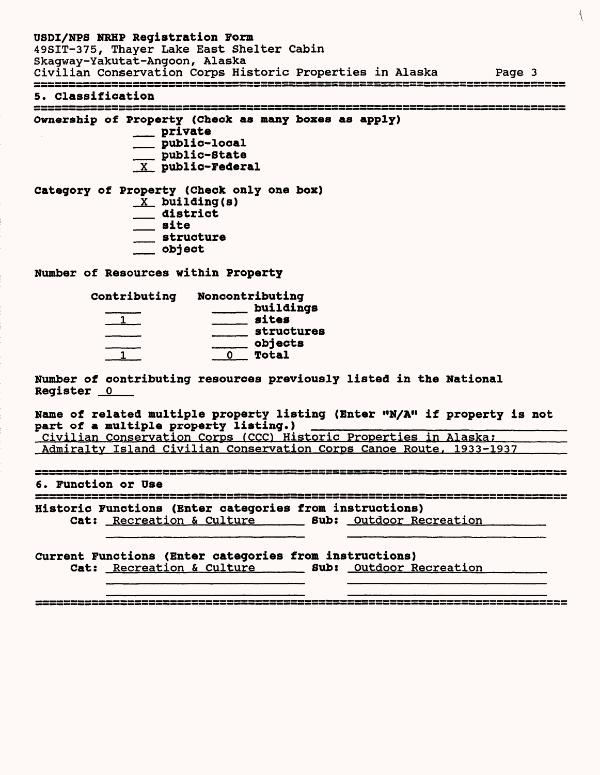USDI/NPS NRHP Registration Form 49SIT-375, Thayer Lake East Shelter Cabin Skagway-Yakutat-Angoon, Alaska Civilian Conservation Corps Historic Properties in Alaska Page 3 5. Classification Ownership of Property (Check as many boxes as apply) \_\_ private \_\_ public-local \_\_ public-State X public-Federal Category of Property (Check only one box)  $X$  building(s) \_\_ district \_\_ site \_\_ structure \_\_ object Number of Resources within Property Contributing Noncontributing \_\_\_\_\_ buildings  $\frac{1}{1}$  sites  $\frac{1}{\sqrt{1-\frac{1}{1-\frac{1}{1-\cdots}}}}$  structures \_\_\_ \_\_\_ objects 1 0 Total Number of contributing resources previously listed in the National Register<sub>0</sub> Name of related multiple property listing (Enter "N/A" if property is not part of a multiple property listing.)

Civilian Conservation Corps (CCC) Historic Properties in Alaska; Admiralty Island Civilian Conservation Corps Canoe Route, 1933-1937

6. Function or Use Historic Functions (Enter categories from instructions) Cat: Recreation & Culture\_\_\_\_\_ Subs Outdoor Recreation

Current Functions (Enter categories from instructions) Cat: Recreation & Culture \_\_\_\_\_ Sub: Outdoor Recreation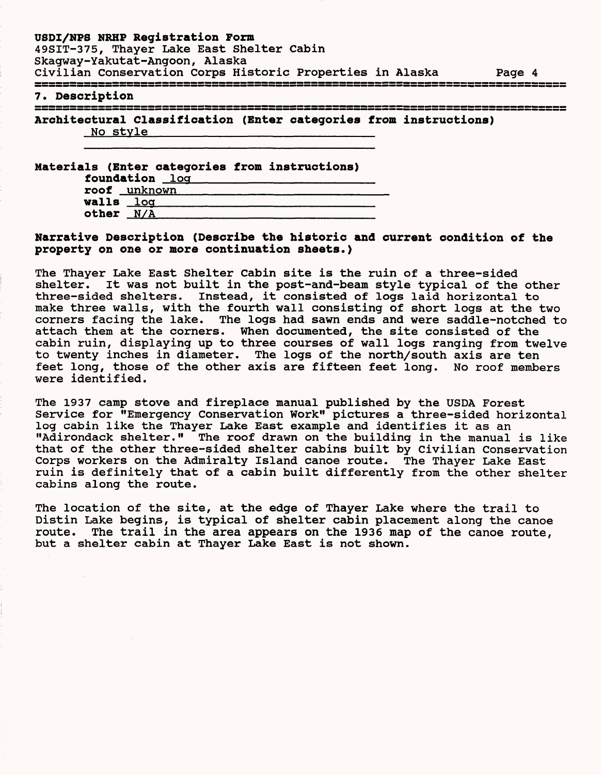| USDI/NPS NRHP Registration Form<br>49SIT-375, Thayer Lake East Shelter Cabin<br>Skaqway-Yakutat-Angoon, Alaska<br>Civilian Conservation Corps Historic Properties in Alaska |  |  | Page 4 |  |
|-----------------------------------------------------------------------------------------------------------------------------------------------------------------------------|--|--|--------|--|
| 7. Description<br>Architectural Classification (Enter categories from instructions)<br>No style                                                                             |  |  |        |  |

**Materials (Enter categories from instructions) foundation log\_\_\_\_\_\_\_\_\_\_\_\_\_\_\_\_\_\_ roof** unknown **walls log**

# **other** N/A

#### **Narrative Description (Describe the historic and current condition of the property on one or more continuation sheets.)**

The Thayer Lake East Shelter Cabin site is the ruin of a three-sided shelter. It was not built in the post-and-beam style typical of the other three-sided shelters. Instead, it consisted of logs laid horizontal to make three walls, with the fourth wall consisting of short logs at the two corners facing the lake. The logs had sawn ends and were saddle-notched to attach them at the corners. When documented, the site consisted of the cabin ruin, displaying up to three courses of wall logs ranging from twelve to twenty inches in diameter. The logs of the north/south axis are ten feet long, those of the other axis are fifteen feet long. No roof members were identified.

The 1937 camp stove and fireplace manual published by the USDA Forest Service for "Emergency Conservation Work" pictures a three-sided horizontal log cabin like the Thayer Lake East example and identifies it as an "Adirondack shelter." The roof drawn on the building in the manual is like that of the other three-sided shelter cabins built by Civilian Conservation Corps workers on the Admiralty Island canoe route. The Thayer Lake East ruin is definitely that of a cabin built differently from the other shelter cabins along the route.

The location of the site, at the edge of Thayer Lake where the trail to Distin Lake begins, is typical of shelter cabin placement along the canoe route.<br>route. The trail in the area appears on the 1936 map of the canoe route. The trail in the area appears on the 1936 map of the canoe route, but a shelter cabin at Thayer Lake East is not shown.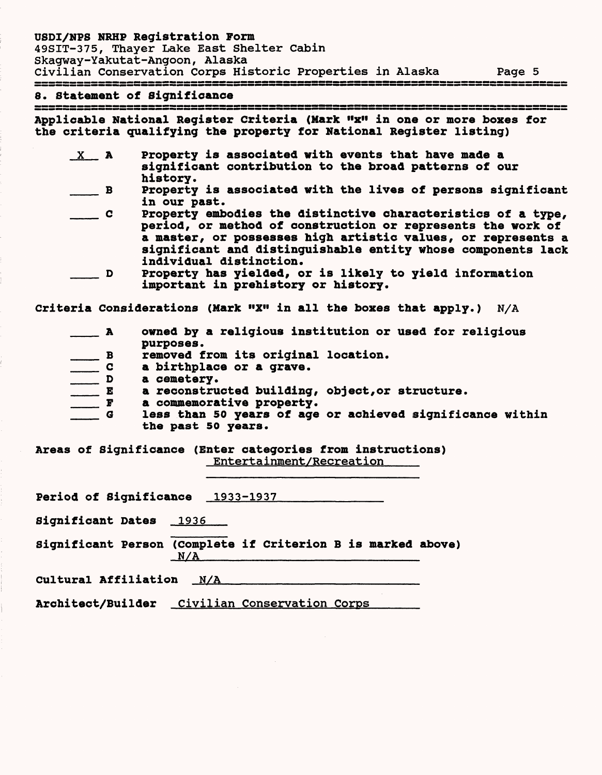| USDI/NPS NRHP Registration Form<br>49SIT-375, Thayer Lake East Shelter Cabin<br>Skagway-Yakutat-Angoon, Alaska<br>Civilian Conservation Corps Historic Properties in Alaska Page 5                                                                                                                                                                                                                                                                                                                                                                                                                                                                                                                                                                                                                                                                                                                             |                                                                                                                                                                                                                                                                                        |  |  |  |  |  |
|----------------------------------------------------------------------------------------------------------------------------------------------------------------------------------------------------------------------------------------------------------------------------------------------------------------------------------------------------------------------------------------------------------------------------------------------------------------------------------------------------------------------------------------------------------------------------------------------------------------------------------------------------------------------------------------------------------------------------------------------------------------------------------------------------------------------------------------------------------------------------------------------------------------|----------------------------------------------------------------------------------------------------------------------------------------------------------------------------------------------------------------------------------------------------------------------------------------|--|--|--|--|--|
| 8. Statement of Significance<br>실험구 지역을 통일 기업 기업 중국 대학생들은 다음 전 중국 대학생들을 지역하고 지역하는 것이다. 그 사람 이 사람은 지역을 지역하고 있는 것이다. 그 사람들은 지역에 대한 지역을 지원하고 있다.                                                                                                                                                                                                                                                                                                                                                                                                                                                                                                                                                                                                                                                                                                                                                                  |                                                                                                                                                                                                                                                                                        |  |  |  |  |  |
|                                                                                                                                                                                                                                                                                                                                                                                                                                                                                                                                                                                                                                                                                                                                                                                                                                                                                                                | Applicable National Register Criteria (Mark "x" in one or more boxes for<br>the criteria qualifying the property for National Register listing)                                                                                                                                        |  |  |  |  |  |
| $X$ $A$                                                                                                                                                                                                                                                                                                                                                                                                                                                                                                                                                                                                                                                                                                                                                                                                                                                                                                        | Property is associated with events that have made a<br>significant contribution to the broad patterns of our<br>history.                                                                                                                                                               |  |  |  |  |  |
| $\qquad \qquad \bullet$                                                                                                                                                                                                                                                                                                                                                                                                                                                                                                                                                                                                                                                                                                                                                                                                                                                                                        | Property is associated with the lives of persons significant<br>in our past.                                                                                                                                                                                                           |  |  |  |  |  |
| $\overline{\phantom{a}}$ $\overline{\phantom{a}}$ $\overline{\phantom{a}}$ $\overline{\phantom{a}}$                                                                                                                                                                                                                                                                                                                                                                                                                                                                                                                                                                                                                                                                                                                                                                                                            | Property embodies the distinctive characteristics of a type,<br>period, or method of construction or represents the work of<br>a master, or possesses high artistic values, or represents a<br>significant and distinguishable entity whose components lack<br>individual distinction. |  |  |  |  |  |
| $\blacksquare$                                                                                                                                                                                                                                                                                                                                                                                                                                                                                                                                                                                                                                                                                                                                                                                                                                                                                                 | Property has yielded, or is likely to yield information<br>important in prehistory or history.                                                                                                                                                                                         |  |  |  |  |  |
| Criteria Considerations (Mark "X" in all the boxes that apply.) N/A                                                                                                                                                                                                                                                                                                                                                                                                                                                                                                                                                                                                                                                                                                                                                                                                                                            |                                                                                                                                                                                                                                                                                        |  |  |  |  |  |
| owned by a religious institution or used for religious<br>$\overline{\phantom{a}}$ $\overline{\phantom{a}}$<br>purposes.<br>removed from its original location.<br>$\qquad \qquad \blacksquare$<br>a birthplace or a grave.<br>$\overline{\phantom{a}}$ c<br>a cemetery.<br>$\overline{\phantom{a}}$ $\overline{\phantom{a}}$ $\overline{\phantom{a}}$<br>E a reconstructed building, object, or structure.<br>$\qquad \qquad$ $\qquad \qquad$ $\qquad$ $\qquad$ $\qquad$ $\qquad$ $\qquad$ $\qquad$ $\qquad$ $\qquad$ $\qquad$ $\qquad$ $\qquad$ $\qquad$ $\qquad$ $\qquad$ $\qquad$ $\qquad$ $\qquad$ $\qquad$ $\qquad$ $\qquad$ $\qquad$ $\qquad$ $\qquad$ $\qquad$ $\qquad$ $\qquad$ $\qquad$ $\qquad$ $\qquad$ $\qquad$ $\qquad$ $\qquad$ $\qquad$ $\qquad$<br>a commemorative property.<br>less than 50 years of age or achieved significance within<br>$\overline{\phantom{a}}$ G<br>the past 50 years. |                                                                                                                                                                                                                                                                                        |  |  |  |  |  |
|                                                                                                                                                                                                                                                                                                                                                                                                                                                                                                                                                                                                                                                                                                                                                                                                                                                                                                                | Areas of Significance (Enter categories from instructions)<br>Entertainment/Recreation                                                                                                                                                                                                 |  |  |  |  |  |
| Period of Significance 1933-1937                                                                                                                                                                                                                                                                                                                                                                                                                                                                                                                                                                                                                                                                                                                                                                                                                                                                               |                                                                                                                                                                                                                                                                                        |  |  |  |  |  |
| Significant Dates 1936                                                                                                                                                                                                                                                                                                                                                                                                                                                                                                                                                                                                                                                                                                                                                                                                                                                                                         |                                                                                                                                                                                                                                                                                        |  |  |  |  |  |
|                                                                                                                                                                                                                                                                                                                                                                                                                                                                                                                                                                                                                                                                                                                                                                                                                                                                                                                | Significant Person (Complete if Criterion B is marked above)<br>N/A                                                                                                                                                                                                                    |  |  |  |  |  |
| Cultural Affiliation N/A No. 2012                                                                                                                                                                                                                                                                                                                                                                                                                                                                                                                                                                                                                                                                                                                                                                                                                                                                              |                                                                                                                                                                                                                                                                                        |  |  |  |  |  |
|                                                                                                                                                                                                                                                                                                                                                                                                                                                                                                                                                                                                                                                                                                                                                                                                                                                                                                                | Architect/Builder _Civilian Conservation Corps                                                                                                                                                                                                                                         |  |  |  |  |  |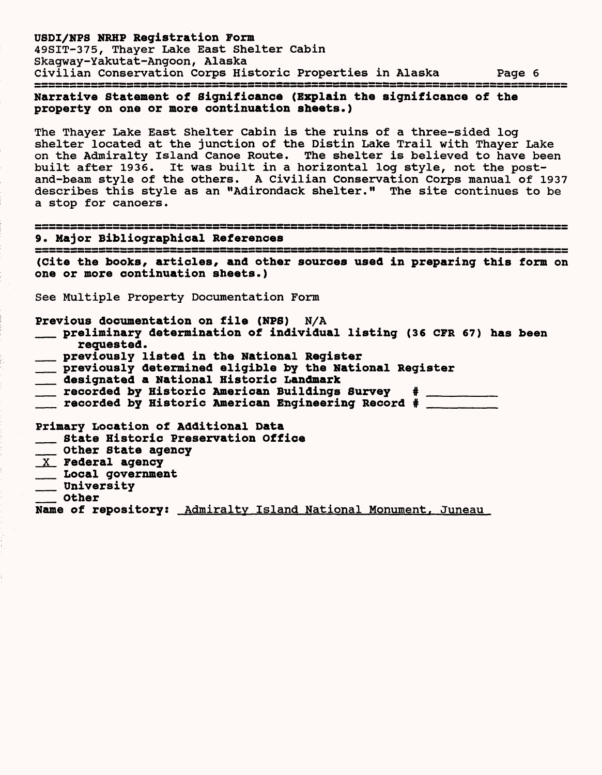## USDI/NPS NRHP **Registration Form** 49SIT-375, Thayer Lake East Shelter Cabin Skagway-Yakutat-Angoon, Alaska Civilian Conservation Corps Historic Properties in Alaska Page 6

**Narrative Statement of Significance (Explain the significance of the property on one or more continuation sheets.)**

The Thayer Lake East Shelter Cabin is the ruins of a three-sided log shelter located at the junction of the Distin Lake Trail with Thayer Lake on the Admiralty Island Canoe Route, The shelter is believed to have been built after 1936. It was built in a horizontal log style, not the postand-beam style of the others. A Civilian Conservation Corps manual of 1937 describes this style as an "Adirondack shelter." The site continues to be a stop for canoers.

# **9. Major Bibliographical References (Cite the books, articles, and other sources used in preparing this form on one or more continuation sheets.)** See Multiple Property Documentation Form

**Previous documentation on file (NPS) N/A**

- **\_\_preliminary determination of individual listing (36** CFR **67) has been requested.**
- **\_\_ previously listed in the National Register**
- **\_\_ previously determined eligible by the National Register**
- **\_\_ designated a National Historic Landmark**
- **\_\_ recorded by Historic American Buildings Survey # \_\_\_\_\_\_\_**
- **\_\_ recorded by Historic American Engineering Record # \_\_\_\_\_\_\_**

**Primary Location of Additional Data** 

- **\_\_ State Historic Preservation Office**
- **\_\_ Other state agency**
- **X Federal agency**
- **\_\_ Local government**
- **\_\_ University**
- **\_\_ Other**
- Name **of repository:** Admiralty Island National Monument, Juneau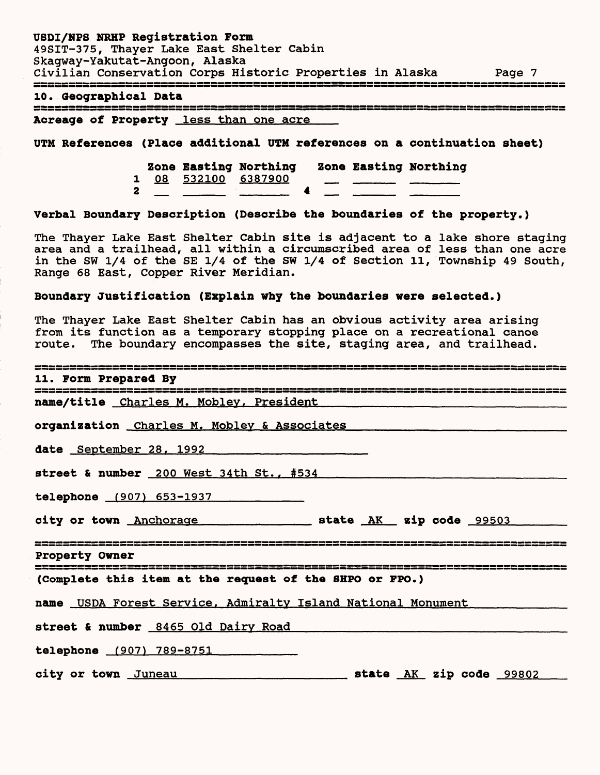USDI/NPS NRHP **Registration Form** 49SIT-375, Thayer Lake East Shelter Cabin Skagway-Yakutat-Angoon, Alaska Civilian Conservation Corps Historic Properties in Alaska Page 7

#### 10. Geographical Data

( يقرب مالك والتي من المال عليه المال عليه عليه قبل التي يمك المال عليه المال عليه المال التي يمكن **Acreage of Property** less than one acre

UTM **References (Place additional** UTM **references on a continuation sheet)**

**Zone Easting Northing Zone Easting Northing**  $\mathbf{2}$  $\overline{\phantom{a}}$ 

**Verbal Boundary Description (Describe the boundaries of the property.)**

The Thayer Lake East Shelter Cabin site is adjacent to a lake shore staging area and a trailhead, all within a circumscribed area of less than one acre in the SW 1/4 of the SE 1/4 of the SW 1/4 of Section 11, Township 49 South, Range 68 East, Copper River Meridian.

#### **Boundary Justification (Explain why the boundaries were selected.)**

The Thayer Lake East Shelter Cabin has an obvious activity area arising from its function as a temporary stopping place on a recreational canoe route. The boundary encompasses the site, staging area, and trailhead.

#### 

**11. Form Prepared By** name/title Charles M. Mobley. President

organization Charles M. Mobley & Associates

date September 28, 1992

street & number 200 West 34th St.. #534

**telephone** (907) 653-1937\_\_\_\_\_\_\_\_\_\_\_\_

**city or town** Anchorage\_\_\_\_\_\_\_\_\_\_\_\_\_ **state** AK **zip code** 99503

**Property Owner (Complete this item at the request of the SHPO or FPO.)**

name USDA Forest Service, Admiralty Island National Monument

street & number 8465 Old Dairy Road

telephone (907) 789-8751

city or town Juneau\_\_\_\_\_\_\_\_\_\_\_\_\_\_\_\_\_\_ state AK zip code 99802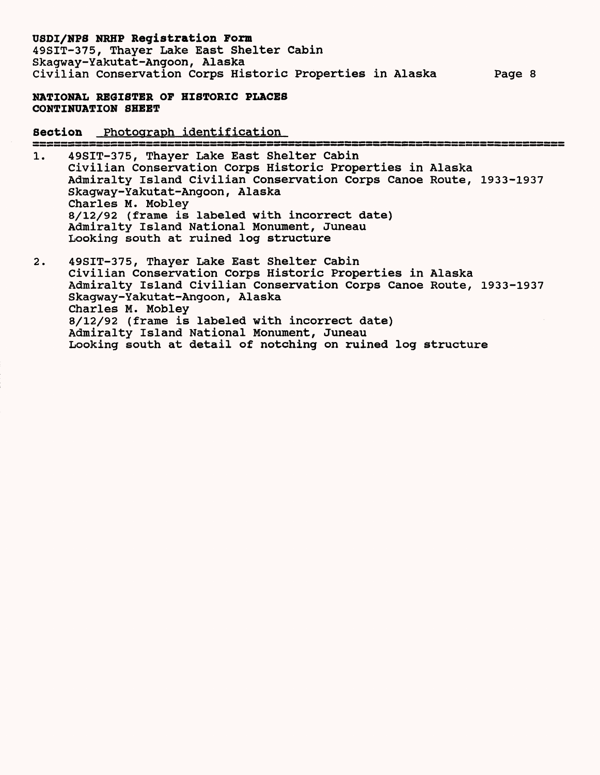۔<br>اگر میں بین سے کہا کہا جو میں بلند میں انہا ہوں کہ میں میں بھار بھا میں میں ایک میں نکار اور اپنا ایک قلب ہوں<br>اس میں میں کہا ہی میں میں نہیں میں بنات کو میں میں میں میں میں میں میں میں میں نکار میں قائم میں بھا جات اس م

**NATIONAL REGISTER OF HISTORIC PLACES CONTINUATION SHEET**

Section Photograph identification

- 49SIT-375, Thayer Lake East Shelter Cabin  $1.$ Civilian Conservation Corps Historic Properties in Alaska Admiralty Island Civilian Conservation Corps Canoe Route, 1933-1937 Skagway-Yakutat-Angoon, Alaska Charles M. Mobley 8/12/92 (frame is labeled with incorrect date) Admiralty Island National Monument, Juneau Looking south at ruined log structure
- $2.$ 49SIT-375, Thayer Lake East Shelter Cabin Civilian Conservation Corps Historic Properties in Alaska Admiralty Island Civilian Conservation Corps Canoe Route, 1933-1937 Skagway-Yakutat-Angoon, Alaska Charles M. Mobley 8/12/92 (frame is labeled with incorrect date) Admiralty Island National Monument, Juneau Looking south at detail of notching on ruined log structure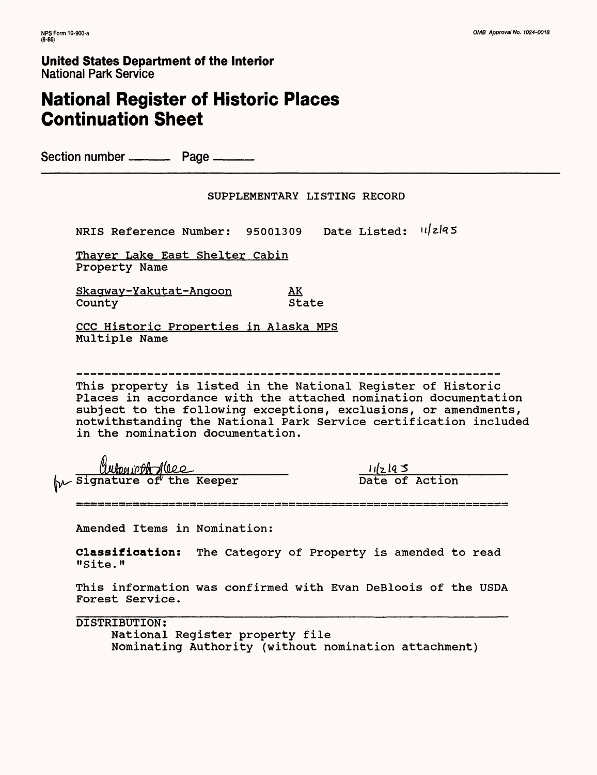## **United States Department of the Interior** National Park Service

# **National Register of Historic Places Continuation Sheet**

Section number \_\_\_\_\_\_\_\_\_\_ Page \_\_

### SUPPLEMENTARY LISTING RECORD

NRIS Reference Number: 95001309 Date Listed: Illzlas

Thayer Lake East Shelter Cabin Property Name

Skagway-Yakutat-Angoon AK<br>County State County

CCC Historic Properties in Alaska MPS Multiple Name

This property is listed in the National Register of Historic Places in accordance with the attached nomination documentation subject to the following exceptions, exclusions, or amendments, notwithstanding the National Park Service certification included in the nomination documentation.

When Muse<br>
We Signature of the Keeper Date of Action

 $11|2193$ 

Amended Items in Nomination:

**Classification:** The Category of Property is amended to read "Site."

This information was confirmed with Evan DeBloois of the USDA Forest Service.

DISTRIBUTION:

National Register property file Nominating Authority (without nomination attachment)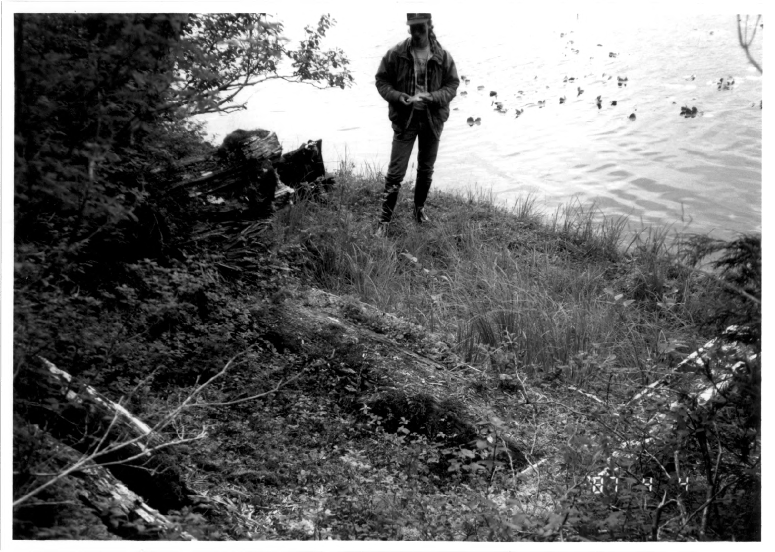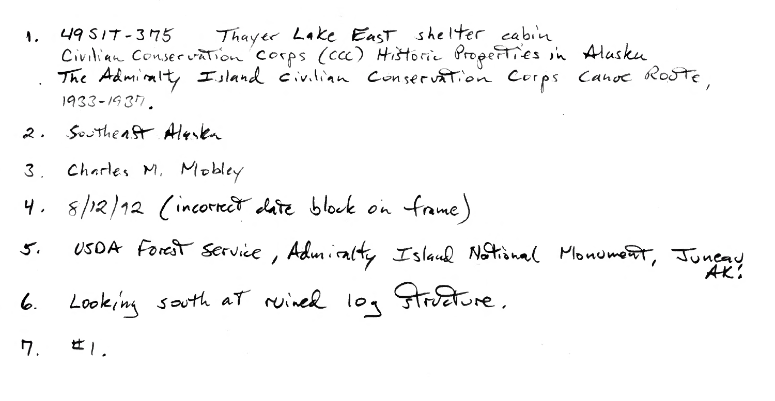- 1. 49517-375 Thayer Lake East shelter cabin<br>Civilian Conservation Corps (CCC) Historic Properties in Alusku<br>The Admiralty Island Givilian Conservation Corps Canoc Roote,  $1933 - 1937$
- 2. Southeast Aluska
- 3. Charles M. Mobley
- 4. 8/12/12 (incorrect date block on frame)
- 5. USDA Forest Service, Admiralty Island Notional Monomet, Juneau 6. Looking south at ruined log Structure.
- $7.$  #1.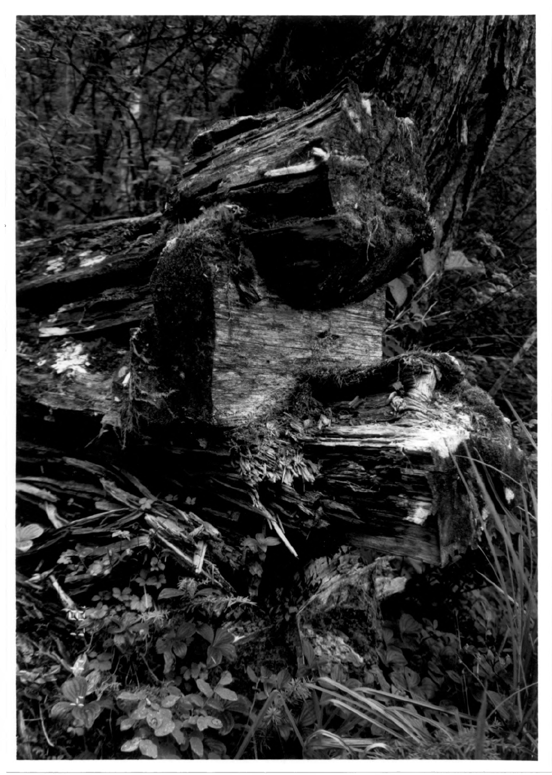